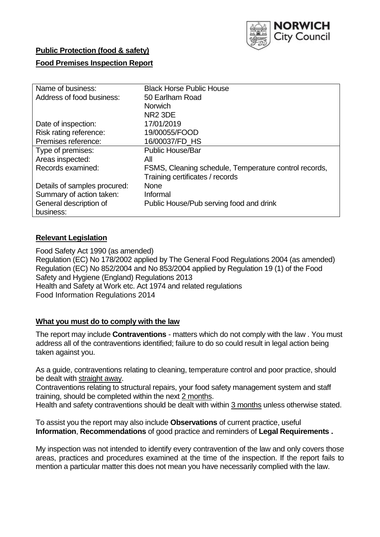

## **Public Protection (food & safety)**

#### **Food Premises Inspection Report**

| Name of business:            | <b>Black Horse Public House</b>                       |
|------------------------------|-------------------------------------------------------|
| Address of food business:    | 50 Earlham Road                                       |
|                              | <b>Norwich</b>                                        |
|                              | NR <sub>2</sub> 3DE                                   |
| Date of inspection:          | 17/01/2019                                            |
| Risk rating reference:       | 19/00055/FOOD                                         |
| Premises reference:          | 16/00037/FD HS                                        |
| Type of premises:            | <b>Public House/Bar</b>                               |
| Areas inspected:             | All                                                   |
| Records examined:            | FSMS, Cleaning schedule, Temperature control records, |
|                              | Training certificates / records                       |
| Details of samples procured: | <b>None</b>                                           |
| Summary of action taken:     | Informal                                              |
| General description of       | Public House/Pub serving food and drink               |
| business:                    |                                                       |

### **Relevant Legislation**

Food Safety Act 1990 (as amended) Regulation (EC) No 178/2002 applied by The General Food Regulations 2004 (as amended) Regulation (EC) No 852/2004 and No 853/2004 applied by Regulation 19 (1) of the Food Safety and Hygiene (England) Regulations 2013 Health and Safety at Work etc. Act 1974 and related regulations Food Information Regulations 2014

#### **What you must do to comply with the law**

The report may include **Contraventions** - matters which do not comply with the law . You must address all of the contraventions identified; failure to do so could result in legal action being taken against you.

As a guide, contraventions relating to cleaning, temperature control and poor practice, should be dealt with straight away.

Contraventions relating to structural repairs, your food safety management system and staff training, should be completed within the next 2 months.

Health and safety contraventions should be dealt with within 3 months unless otherwise stated.

To assist you the report may also include **Observations** of current practice, useful **Information**, **Recommendations** of good practice and reminders of **Legal Requirements .**

My inspection was not intended to identify every contravention of the law and only covers those areas, practices and procedures examined at the time of the inspection. If the report fails to mention a particular matter this does not mean you have necessarily complied with the law.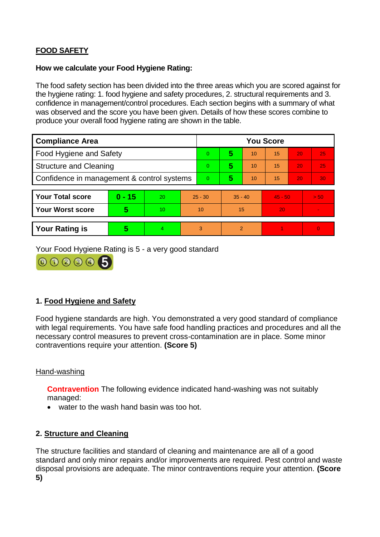# **FOOD SAFETY**

### **How we calculate your Food Hygiene Rating:**

The food safety section has been divided into the three areas which you are scored against for the hygiene rating: 1. food hygiene and safety procedures, 2. structural requirements and 3. confidence in management/control procedures. Each section begins with a summary of what was observed and the score you have been given. Details of how these scores combine to produce your overall food hygiene rating are shown in the table.

| <b>Compliance Area</b>                     |          |                  |           | <b>You Score</b> |                |    |           |    |                |  |  |
|--------------------------------------------|----------|------------------|-----------|------------------|----------------|----|-----------|----|----------------|--|--|
| Food Hygiene and Safety                    |          |                  |           | 0                | 5              | 10 | 15        | 20 | 25             |  |  |
| <b>Structure and Cleaning</b>              |          |                  | 0         | 5                | 10             | 15 | 20        | 25 |                |  |  |
| Confidence in management & control systems |          |                  | 0         | 5                | 10             | 15 | 20        | 30 |                |  |  |
|                                            |          |                  |           |                  |                |    |           |    |                |  |  |
| <b>Your Total score</b>                    | $0 - 15$ | 20               | $25 - 30$ |                  | $35 - 40$      |    | $45 - 50$ |    | > 50           |  |  |
| <b>Your Worst score</b>                    | 5        | 10 <sup>10</sup> | 10        |                  | 15             |    | 20        |    | $\blacksquare$ |  |  |
|                                            |          |                  |           |                  |                |    |           |    |                |  |  |
| <b>Your Rating is</b>                      | 5        | 4                | 3         |                  | $\overline{2}$ |    |           |    | $\Omega$       |  |  |

Your Food Hygiene Rating is 5 - a very good standard



# **1. Food Hygiene and Safety**

Food hygiene standards are high. You demonstrated a very good standard of compliance with legal requirements. You have safe food handling practices and procedures and all the necessary control measures to prevent cross-contamination are in place. Some minor contraventions require your attention. **(Score 5)**

# Hand-washing

**Contravention** The following evidence indicated hand-washing was not suitably managed:

• water to the wash hand basin was too hot.

# **2. Structure and Cleaning**

The structure facilities and standard of cleaning and maintenance are all of a good standard and only minor repairs and/or improvements are required. Pest control and waste disposal provisions are adequate. The minor contraventions require your attention. **(Score 5)**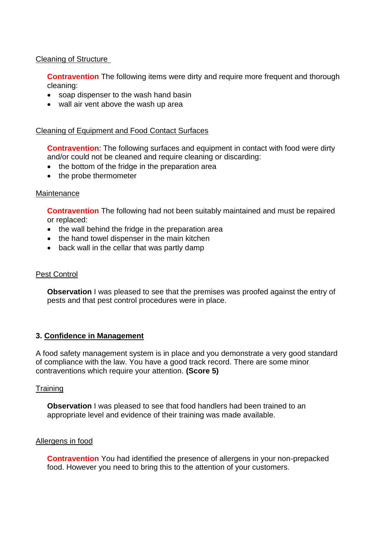#### Cleaning of Structure

**Contravention** The following items were dirty and require more frequent and thorough cleaning:

- soap dispenser to the wash hand basin
- wall air vent above the wash up area

### Cleaning of Equipment and Food Contact Surfaces

**Contravention**: The following surfaces and equipment in contact with food were dirty and/or could not be cleaned and require cleaning or discarding:

- the bottom of the fridge in the preparation area
- the probe thermometer

#### **Maintenance**

**Contravention** The following had not been suitably maintained and must be repaired or replaced:

- the wall behind the fridge in the preparation area
- the hand towel dispenser in the main kitchen
- back wall in the cellar that was partly damp

#### **Pest Control**

**Observation** I was pleased to see that the premises was proofed against the entry of pests and that pest control procedures were in place.

#### **3. Confidence in Management**

A food safety management system is in place and you demonstrate a very good standard of compliance with the law. You have a good track record. There are some minor contraventions which require your attention. **(Score 5)**

#### **Training**

**Observation** I was pleased to see that food handlers had been trained to an appropriate level and evidence of their training was made available.

#### Allergens in food

**Contravention** You had identified the presence of allergens in your non-prepacked food. However you need to bring this to the attention of your customers.